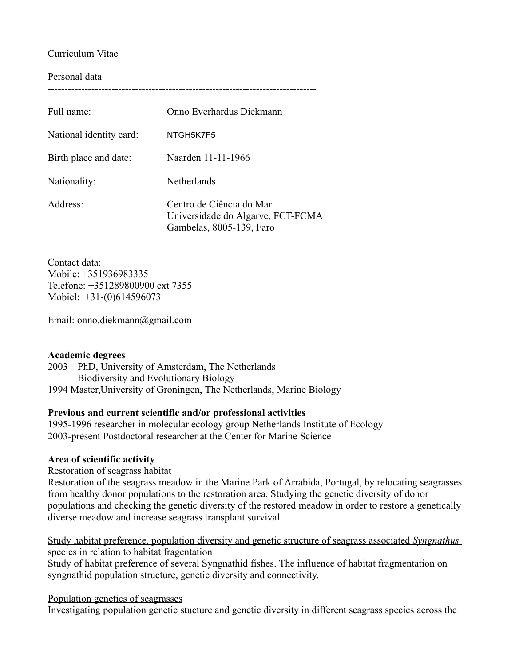Curriculum Vitae

------------------------------------------------------------------------------- Personal data

--------------------------------------------------------------------------------

| Full name:              | Onno Everhardus Diekmann                                                                  |
|-------------------------|-------------------------------------------------------------------------------------------|
| National identity card: | NTGH5K7F5                                                                                 |
| Birth place and date:   | Naarden 11-11-1966                                                                        |
| Nationality:            | Netherlands                                                                               |
| Address:                | Centro de Ciência do Mar<br>Universidade do Algarve, FCT-FCMA<br>Gambelas, 8005-139, Faro |

Contact data: Mobile: +351936983335 Telefone: +351289800900 ext 7355 Mobiel: +31-(0)614596073

Email: onno.diekmann@gmail.com

## **Academic degrees**

2003 PhD, University of Amsterdam, The Netherlands Biodiversity and Evolutionary Biology 1994 Master,University of Groningen, The Netherlands, Marine Biology

### **Previous and current scientific and/or professional activities**

1995-1996 researcher in molecular ecology group Netherlands Institute of Ecology 2003-present Postdoctoral researcher at the Center for Marine Science

## **Area of scientific activity**

Restoration of seagrass habitat

Restoration of the seagrass meadow in the Marine Park of Árrabida, Portugal, by relocating seagrasses from healthy donor populations to the restoration area. Studying the genetic diversity of donor populations and checking the genetic diversity of the restored meadow in order to restore a genetically diverse meadow and increase seagrass transplant survival.

 Study habitat preference, population diversity and genetic structure of seagrass associated *Syngnathus* species in relation to habitat fragentation

Study of habitat preference of several Syngnathid fishes. The influence of habitat fragmentation on syngnathid population structure, genetic diversity and connectivity.

Population genetics of seagrasses

Investigating population genetic stucture and genetic diversity in different seagrass species across the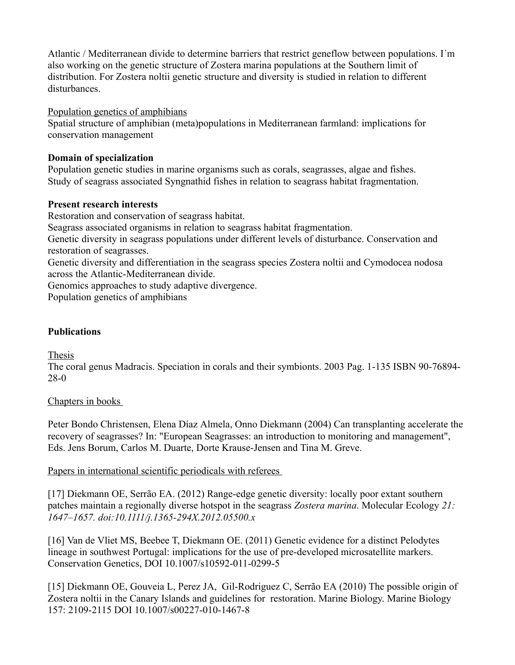Atlantic / Mediterranean divide to determine barriers that restrict geneflow between populations. I´m also working on the genetic structure of Zostera marina populations at the Southern limit of distribution. For Zostera noltii genetic structure and diversity is studied in relation to different disturbances.

Population genetics of amphibians

Spatial structure of amphibian (meta)populations in Mediterranean farmland: implications for conservation management

# **Domain of specialization**

Population genetic studies in marine organisms such as corals, seagrasses, algae and fishes. Study of seagrass associated Syngnathid fishes in relation to seagrass habitat fragmentation.

## **Present research interests**

Restoration and conservation of seagrass habitat.

Seagrass associated organisms in relation to seagrass habitat fragmentation.

Genetic diversity in seagrass populations under different levels of disturbance. Conservation and restoration of seagrasses.

Genetic diversity and differentiation in the seagrass species Zostera noltii and Cymodocea nodosa across the Atlantic-Mediterranean divide.

Genomics approaches to study adaptive divergence.

Population genetics of amphibians

# **Publications**

Thesis

The coral genus Madracis. Speciation in corals and their symbionts. 2003 Pag. 1-135 ISBN 90-76894- 28-0

# Chapters in books

Peter Bondo Christensen, Elena Díaz Almela, Onno Diekmann (2004) Can transplanting accelerate the recovery of seagrasses? In: "European Seagrasses: an introduction to monitoring and management", Eds. Jens Borum, Carlos M. Duarte, Dorte Krause-Jensen and Tina M. Greve.

Papers in international scientific periodicals with referees

[17] Diekmann OE, Serrão EA. (2012) Range-edge genetic diversity: locally poor extant southern patches maintain a regionally diverse hotspot in the seagrass *Zostera marina*. Molecular Ecology *21: 1647–1657. doi:10.1111/j.1365-294X.2012.05500.x*

[16] Van de Vliet MS, Beebee T, Diekmann OE. (2011) Genetic evidence for a distinct Pelodytes lineage in southwest Portugal: implications for the use of pre-developed microsatellite markers. Conservation Genetics, DOI 10.1007/s10592-011-0299-5

[15] Diekmann OE, Gouveia L, Perez JA, Gil-Rodriguez C, Serrão EA (2010) The possible origin of Zostera noltii in the Canary Islands and guidelines for restoration. Marine Biology. Marine Biology 157: 2109-2115 DOI 10.1007/s00227-010-1467-8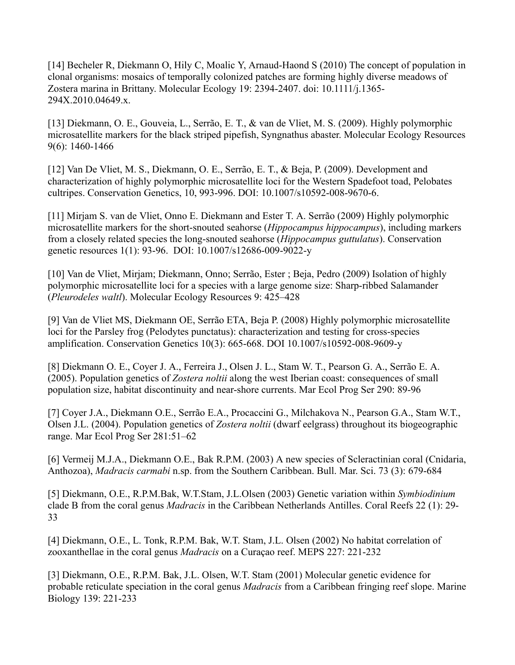[14] Becheler R, Diekmann O, Hily C, Moalic Y, Arnaud-Haond S (2010) The concept of population in clonal organisms: mosaics of temporally colonized patches are forming highly diverse meadows of Zostera marina in Brittany. Molecular Ecology 19: 2394-2407. doi: 10.1111/j.1365- 294X.2010.04649.x.

[13] Diekmann, O. E., Gouveia, L., Serrão, E. T., & van de Vliet, M. S. (2009). Highly polymorphic microsatellite markers for the black striped pipefish, Syngnathus abaster. Molecular Ecology Resources 9(6): 1460-1466

[12] Van De Vliet, M. S., Diekmann, O. E., Serrão, E. T., & Beja, P. (2009). Development and characterization of highly polymorphic microsatellite loci for the Western Spadefoot toad, Pelobates cultripes. Conservation Genetics, 10, 993-996. DOI: 10.1007/s10592-008-9670-6.

[11] Mirjam S. van de Vliet, Onno E. Diekmann and Ester T. A. Serrão (2009) Highly polymorphic microsatellite markers for the short-snouted seahorse (*Hippocampus hippocampus*), including markers from a closely related species the long-snouted seahorse (*Hippocampus guttulatus*). Conservation genetic resources 1(1): 93-96. DOI: 10.1007/s12686-009-9022-y

[10] Van de Vliet, Mirjam; Diekmann, Onno; Serrão, Ester ; Beja, Pedro (2009) Isolation of highly polymorphic microsatellite loci for a species with a large genome size: Sharp-ribbed Salamander (*Pleurodeles waltl*). Molecular Ecology Resources 9: 425–428

[9] Van de Vliet MS, Diekmann OE, Serrão ETA, Beja P. (2008) Highly polymorphic microsatellite loci for the Parsley frog (Pelodytes punctatus): characterization and testing for cross-species amplification. Conservation Genetics 10(3): 665-668. DOI 10.1007/s10592-008-9609-y

[8] Diekmann O. E., Coyer J. A., Ferreira J., Olsen J. L., Stam W. T., Pearson G. A., Serrão E. A. (2005). Population genetics of *Zostera noltii* along the west Iberian coast: consequences of small population size, habitat discontinuity and near-shore currents. Mar Ecol Prog Ser 290: 89-96

[7] Coyer J.A., Diekmann O.E., Serrão E.A., Procaccini G., Milchakova N., Pearson G.A., Stam W.T., Olsen J.L. (2004). Population genetics of *Zostera noltii* (dwarf eelgrass) throughout its biogeographic range. Mar Ecol Prog Ser 281:51–62

[6] Vermeij M.J.A., Diekmann O.E., Bak R.P.M. (2003) A new species of Scleractinian coral (Cnidaria, Anthozoa), *Madracis carmabi* n.sp. from the Southern Caribbean. Bull. Mar. Sci. 73 (3): 679-684

[5] Diekmann, O.E., R.P.M.Bak, W.T.Stam, J.L.Olsen (2003) Genetic variation within *Symbiodinium* clade B from the coral genus *Madracis* in the Caribbean Netherlands Antilles. Coral Reefs 22 (1): 29- 33

[4] Diekmann, O.E., L. Tonk, R.P.M. Bak, W.T. Stam, J.L. Olsen (2002) No habitat correlation of zooxanthellae in the coral genus *Madracis* on a Curaçao reef. MEPS 227: 221-232

[3] Diekmann, O.E., R.P.M. Bak, J.L. Olsen, W.T. Stam (2001) Molecular genetic evidence for probable reticulate speciation in the coral genus *Madracis* from a Caribbean fringing reef slope. Marine Biology 139: 221-233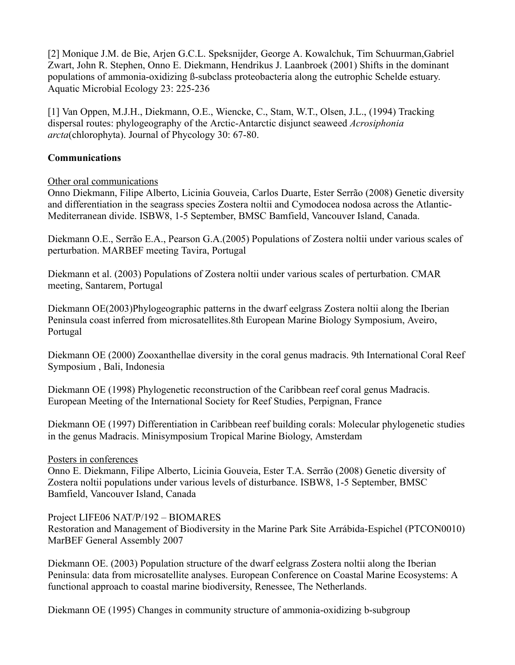[2] Monique J.M. de Bie, Arjen G.C.L. Speksnijder, George A. Kowalchuk, Tim Schuurman,Gabriel Zwart, John R. Stephen, Onno E. Diekmann, Hendrikus J. Laanbroek (2001) Shifts in the dominant populations of ammonia-oxidizing ß-subclass proteobacteria along the eutrophic Schelde estuary. Aquatic Microbial Ecology 23: 225-236

[1] Van Oppen, M.J.H., Diekmann, O.E., Wiencke, C., Stam, W.T., Olsen, J.L., (1994) Tracking dispersal routes: phylogeography of the Arctic-Antarctic disjunct seaweed *Acrosiphonia arcta*(chlorophyta). Journal of Phycology 30: 67-80.

### **Communications**

### Other oral communications

Onno Diekmann, Filipe Alberto, Licinia Gouveia, Carlos Duarte, Ester Serrão (2008) Genetic diversity and differentiation in the seagrass species Zostera noltii and Cymodocea nodosa across the Atlantic-Mediterranean divide. ISBW8, 1-5 September, BMSC Bamfield, Vancouver Island, Canada.

Diekmann O.E., Serrão E.A., Pearson G.A.(2005) Populations of Zostera noltii under various scales of perturbation. MARBEF meeting Tavira, Portugal

Diekmann et al. (2003) Populations of Zostera noltii under various scales of perturbation. CMAR meeting, Santarem, Portugal

Diekmann OE(2003)Phylogeographic patterns in the dwarf eelgrass Zostera noltii along the Iberian Peninsula coast inferred from microsatellites.8th European Marine Biology Symposium, Aveiro, Portugal

Diekmann OE (2000) Zooxanthellae diversity in the coral genus madracis. 9th International Coral Reef Symposium , Bali, Indonesia

Diekmann OE (1998) Phylogenetic reconstruction of the Caribbean reef coral genus Madracis. European Meeting of the International Society for Reef Studies, Perpignan, France

Diekmann OE (1997) Differentiation in Caribbean reef building corals: Molecular phylogenetic studies in the genus Madracis. Minisymposium Tropical Marine Biology, Amsterdam

### Posters in conferences

Onno E. Diekmann, Filipe Alberto, Licinia Gouveia, Ester T.A. Serrão (2008) Genetic diversity of Zostera noltii populations under various levels of disturbance. ISBW8, 1-5 September, BMSC Bamfield, Vancouver Island, Canada

### Project LIFE06 NAT/P/192 – BIOMARES

Restoration and Management of Biodiversity in the Marine Park Site Arrábida-Espichel (PTCON0010) MarBEF General Assembly 2007

Diekmann OE. (2003) Population structure of the dwarf eelgrass Zostera noltii along the Iberian Peninsula: data from microsatellite analyses. European Conference on Coastal Marine Ecosystems: A functional approach to coastal marine biodiversity, Renessee, The Netherlands.

Diekmann OE (1995) Changes in community structure of ammonia-oxidizing b-subgroup